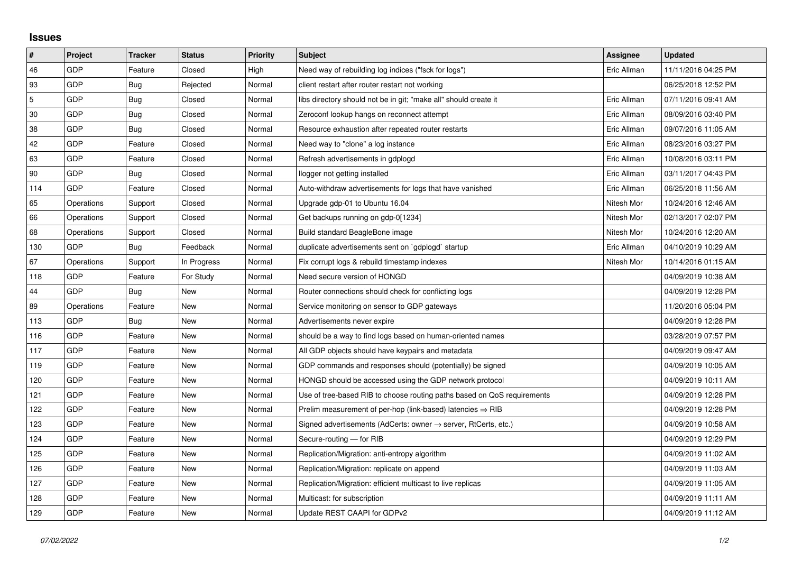## **Issues**

| $\pmb{\sharp}$ | Project    | <b>Tracker</b> | <b>Status</b> | <b>Priority</b> | <b>Subject</b>                                                             | Assignee    | <b>Updated</b>      |
|----------------|------------|----------------|---------------|-----------------|----------------------------------------------------------------------------|-------------|---------------------|
| 46             | GDP        | Feature        | Closed        | High            | Need way of rebuilding log indices ("fsck for logs")                       | Eric Allman | 11/11/2016 04:25 PM |
| 93             | <b>GDP</b> | Bug            | Rejected      | Normal          | client restart after router restart not working                            |             | 06/25/2018 12:52 PM |
| $\overline{5}$ | <b>GDP</b> | Bug            | Closed        | Normal          | libs directory should not be in git; "make all" should create it           | Eric Allman | 07/11/2016 09:41 AM |
| $30\,$         | GDP        | Bug            | Closed        | Normal          | Zeroconf lookup hangs on reconnect attempt                                 | Eric Allman | 08/09/2016 03:40 PM |
| 38             | <b>GDP</b> | Bug            | Closed        | Normal          | Resource exhaustion after repeated router restarts                         | Eric Allman | 09/07/2016 11:05 AM |
| 42             | <b>GDP</b> | Feature        | Closed        | Normal          | Need way to "clone" a log instance                                         | Eric Allman | 08/23/2016 03:27 PM |
| 63             | <b>GDP</b> | Feature        | Closed        | Normal          | Refresh advertisements in gdplogd                                          | Eric Allman | 10/08/2016 03:11 PM |
| 90             | <b>GDP</b> | Bug            | Closed        | Normal          | llogger not getting installed                                              | Eric Allman | 03/11/2017 04:43 PM |
| 114            | GDP        | Feature        | Closed        | Normal          | Auto-withdraw advertisements for logs that have vanished                   | Eric Allman | 06/25/2018 11:56 AM |
| 65             | Operations | Support        | Closed        | Normal          | Upgrade gdp-01 to Ubuntu 16.04                                             | Nitesh Mor  | 10/24/2016 12:46 AM |
| 66             | Operations | Support        | Closed        | Normal          | Get backups running on gdp-0[1234]                                         | Nitesh Mor  | 02/13/2017 02:07 PM |
| 68             | Operations | Support        | Closed        | Normal          | Build standard BeagleBone image                                            | Nitesh Mor  | 10/24/2016 12:20 AM |
| 130            | GDP        | Bug            | Feedback      | Normal          | duplicate advertisements sent on `gdplogd` startup                         | Eric Allman | 04/10/2019 10:29 AM |
| 67             | Operations | Support        | In Progress   | Normal          | Fix corrupt logs & rebuild timestamp indexes                               | Nitesh Mor  | 10/14/2016 01:15 AM |
| 118            | <b>GDP</b> | Feature        | For Study     | Normal          | Need secure version of HONGD                                               |             | 04/09/2019 10:38 AM |
| 44             | GDP        | Bug            | <b>New</b>    | Normal          | Router connections should check for conflicting logs                       |             | 04/09/2019 12:28 PM |
| 89             | Operations | Feature        | New           | Normal          | Service monitoring on sensor to GDP gateways                               |             | 11/20/2016 05:04 PM |
| 113            | <b>GDP</b> | Bug            | New           | Normal          | Advertisements never expire                                                |             | 04/09/2019 12:28 PM |
| 116            | <b>GDP</b> | Feature        | New           | Normal          | should be a way to find logs based on human-oriented names                 |             | 03/28/2019 07:57 PM |
| 117            | GDP        | Feature        | New           | Normal          | All GDP objects should have keypairs and metadata                          |             | 04/09/2019 09:47 AM |
| 119            | <b>GDP</b> | Feature        | <b>New</b>    | Normal          | GDP commands and responses should (potentially) be signed                  |             | 04/09/2019 10:05 AM |
| 120            | GDP        | Feature        | New           | Normal          | HONGD should be accessed using the GDP network protocol                    |             | 04/09/2019 10:11 AM |
| 121            | GDP        | Feature        | New           | Normal          | Use of tree-based RIB to choose routing paths based on QoS requirements    |             | 04/09/2019 12:28 PM |
| 122            | <b>GDP</b> | Feature        | <b>New</b>    | Normal          | Prelim measurement of per-hop (link-based) latencies $\Rightarrow$ RIB     |             | 04/09/2019 12:28 PM |
| 123            | <b>GDP</b> | Feature        | <b>New</b>    | Normal          | Signed advertisements (AdCerts: owner $\rightarrow$ server, RtCerts, etc.) |             | 04/09/2019 10:58 AM |
| 124            | GDP        | Feature        | New           | Normal          | Secure-routing - for RIB                                                   |             | 04/09/2019 12:29 PM |
| 125            | GDP        | Feature        | New           | Normal          | Replication/Migration: anti-entropy algorithm                              |             | 04/09/2019 11:02 AM |
| 126            | <b>GDP</b> | Feature        | <b>New</b>    | Normal          | Replication/Migration: replicate on append                                 |             | 04/09/2019 11:03 AM |
| 127            | <b>GDP</b> | Feature        | <b>New</b>    | Normal          | Replication/Migration: efficient multicast to live replicas                |             | 04/09/2019 11:05 AM |
| 128            | GDP        | Feature        | New           | Normal          | Multicast: for subscription                                                |             | 04/09/2019 11:11 AM |
| 129            | GDP        | Feature        | <b>New</b>    | Normal          | Update REST CAAPI for GDPv2                                                |             | 04/09/2019 11:12 AM |